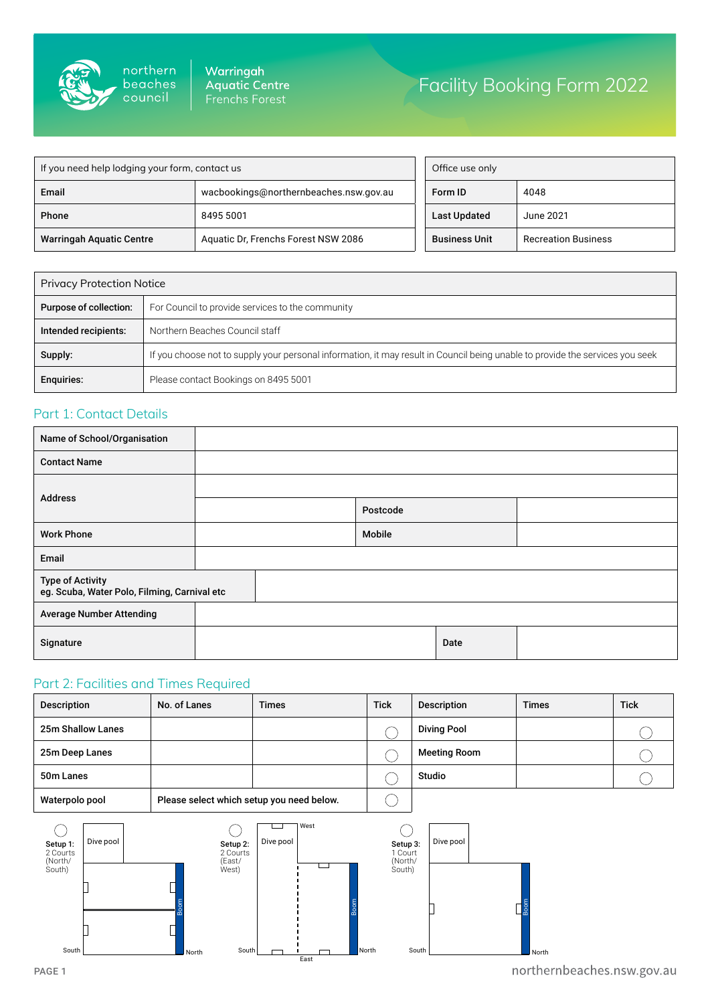

| If you need help lodging your form, contact us |                                        |  |  |  |  |
|------------------------------------------------|----------------------------------------|--|--|--|--|
| Email                                          | wacbookings@northernbeaches.nsw.gov.au |  |  |  |  |
| <b>Phone</b>                                   | 8495 5001                              |  |  |  |  |
| <b>Warringah Aquatic Centre</b>                | Aquatic Dr, Frenchs Forest NSW 2086    |  |  |  |  |

| Office use only      |                            |  |  |  |  |
|----------------------|----------------------------|--|--|--|--|
| Form ID              | 4048                       |  |  |  |  |
| <b>Last Updated</b>  | June 2021                  |  |  |  |  |
| <b>Business Unit</b> | <b>Recreation Business</b> |  |  |  |  |

| <b>Privacy Protection Notice</b> |                                                                                                                               |  |  |  |  |
|----------------------------------|-------------------------------------------------------------------------------------------------------------------------------|--|--|--|--|
| Purpose of collection:           | For Council to provide services to the community                                                                              |  |  |  |  |
| Intended recipients:             | Northern Beaches Council staff                                                                                                |  |  |  |  |
| Supply:                          | If you choose not to supply your personal information, it may result in Council being unable to provide the services you seek |  |  |  |  |
| <b>Enquiries:</b>                | Please contact Bookings on 8495 5001                                                                                          |  |  |  |  |

### Part 1: Contact Details

| Name of School/Organisation                                             |          |  |
|-------------------------------------------------------------------------|----------|--|
| <b>Contact Name</b>                                                     |          |  |
|                                                                         |          |  |
| <b>Address</b>                                                          | Postcode |  |
| <b>Work Phone</b>                                                       | Mobile   |  |
| Email                                                                   |          |  |
| <b>Type of Activity</b><br>eg. Scuba, Water Polo, Filming, Carnival etc |          |  |
| <b>Average Number Attending</b>                                         |          |  |
| Signature                                                               | Date     |  |

#### Part 2: Facilities and Times Required

| Description              | No. of Lanes                              | <b>Times</b> | <b>Tick</b> | Description         | <b>Times</b> | <b>Tick</b> |
|--------------------------|-------------------------------------------|--------------|-------------|---------------------|--------------|-------------|
| <b>25m Shallow Lanes</b> |                                           |              |             | <b>Diving Pool</b>  |              |             |
| 25m Deep Lanes           |                                           |              |             | <b>Meeting Room</b> |              |             |
| 50m Lanes                |                                           |              |             | Studio              |              |             |
| Waterpolo pool           | Please select which setup you need below. |              |             |                     |              |             |



northernbeaches.nsw.gov.au